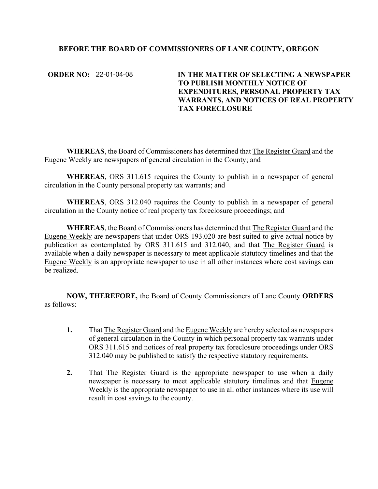## **BEFORE THE BOARD OF COMMISSIONERS OF LANE COUNTY, OREGON**

**ORDER NO: 22-01-04-08** 

IN THE MATTER OF SELECTING A NEWSPAPER **TO PUBLISH MONTHLY NOTICE OF EXPENDITURES, PERSONAL PROPERTY TAX WARRANTS, AND NOTICES OF REAL PROPERTY TAX FORECLOSURE** 

**WHEREAS**, the Board of Commissioners has determined that The Register Guard and the Eugene Weekly are newspapers of general circulation in the County; and

**WHEREAS**, ORS 311.615 requires the County to publish in a newspaper of general circulation in the County personal property tax warrants; and

**WHEREAS**, ORS 312.040 requires the County to publish in a newspaper of general circulation in the County notice of real property tax foreclosure proceedings; and

**WHEREAS**, the Board of Commissioners has determined that The Register Guard and the Eugene Weekly are newspapers that under ORS 193.020 are best suited to give actual notice by publication as contemplated by ORS 311.615 and 312.040, and that The Register Guard is available when a daily newspaper is necessary to meet applicable statutory timelines and that the Eugene Weekly is an appropriate newspaper to use in all other instances where cost savings can be realized.

**NOW, THEREFORE,** the Board of County Commissioners of Lane County **ORDERS**  as follows:

- **1.** That The Register Guard and the Eugene Weekly are hereby selected as newspapers of general circulation in the County in which personal property tax warrants under ORS 311.615 and notices of real property tax foreclosure proceedings under ORS 312.040 may be published to satisfy the respective statutory requirements.
- **2.** That The Register Guard is the appropriate newspaper to use when a daily newspaper is necessary to meet applicable statutory timelines and that Eugene Weekly is the appropriate newspaper to use in all other instances where its use will result in cost savings to the county.